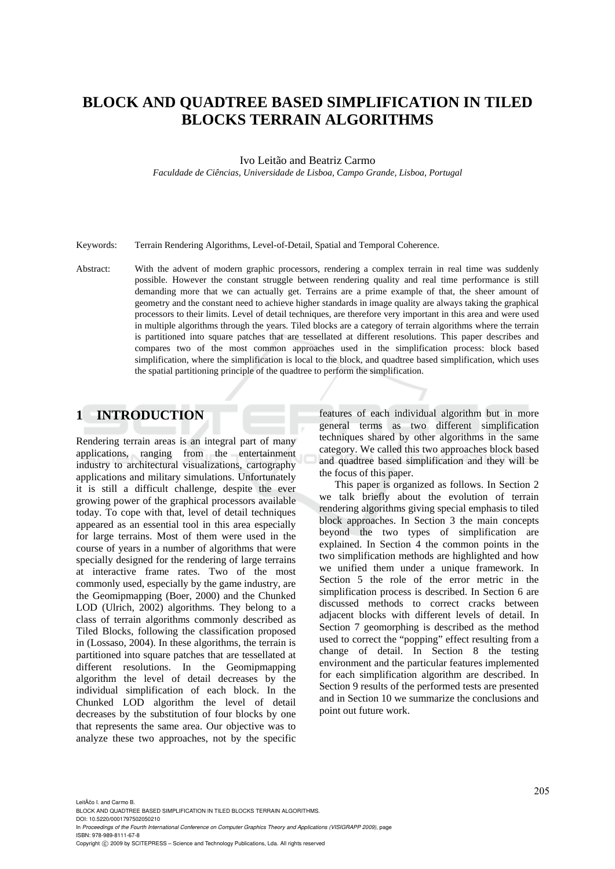# **BLOCK AND QUADTREE BASED SIMPLIFICATION IN TILED BLOCKS TERRAIN ALGORITHMS**

### Ivo Leitão and Beatriz Carmo

*Faculdade de Ciências, Universidade de Lisboa, Campo Grande, Lisboa, Portugal* 

Keywords: Terrain Rendering Algorithms, Level-of-Detail, Spatial and Temporal Coherence.

Abstract: With the advent of modern graphic processors, rendering a complex terrain in real time was suddenly possible. However the constant struggle between rendering quality and real time performance is still demanding more that we can actually get. Terrains are a prime example of that, the sheer amount of geometry and the constant need to achieve higher standards in image quality are always taking the graphical processors to their limits. Level of detail techniques, are therefore very important in this area and were used in multiple algorithms through the years. Tiled blocks are a category of terrain algorithms where the terrain is partitioned into square patches that are tessellated at different resolutions. This paper describes and compares two of the most common approaches used in the simplification process: block based simplification, where the simplification is local to the block, and quadtree based simplification, which uses the spatial partitioning principle of the quadtree to perform the simplification.

## **1 INTRODUCTION**

Rendering terrain areas is an integral part of many applications, ranging from the entertainment industry to architectural visualizations, cartography applications and military simulations. Unfortunately it is still a difficult challenge, despite the ever growing power of the graphical processors available today. To cope with that, level of detail techniques appeared as an essential tool in this area especially for large terrains. Most of them were used in the course of years in a number of algorithms that were specially designed for the rendering of large terrains at interactive frame rates. Two of the most commonly used, especially by the game industry, are the Geomipmapping (Boer, 2000) and the Chunked LOD (Ulrich, 2002) algorithms. They belong to a class of terrain algorithms commonly described as Tiled Blocks, following the classification proposed in (Lossaso, 2004). In these algorithms, the terrain is partitioned into square patches that are tessellated at different resolutions. In the Geomipmapping algorithm the level of detail decreases by the individual simplification of each block. In the Chunked LOD algorithm the level of detail decreases by the substitution of four blocks by one that represents the same area. Our objective was to analyze these two approaches, not by the specific

features of each individual algorithm but in more general terms as two different simplification techniques shared by other algorithms in the same category. We called this two approaches block based and quadtree based simplification and they will be the focus of this paper.

This paper is organized as follows. In Section 2 we talk briefly about the evolution of terrain rendering algorithms giving special emphasis to tiled block approaches. In Section 3 the main concepts beyond the two types of simplification are explained. In Section 4 the common points in the two simplification methods are highlighted and how we unified them under a unique framework. In Section 5 the role of the error metric in the simplification process is described. In Section 6 are discussed methods to correct cracks between adjacent blocks with different levels of detail. In Section 7 geomorphing is described as the method used to correct the "popping" effect resulting from a change of detail. In Section 8 the testing environment and the particular features implemented for each simplification algorithm are described. In Section 9 results of the performed tests are presented and in Section 10 we summarize the conclusions and point out future work.

LeitÃčo I. and Carmo B. BLOCK AND QUADTREE BASED SIMPLIFICATION IN TILED BLOCKS TERRAIN ALGORITHMS. DOI: 10.5220/0001797502050210 In *Proceedings of the Fourth International Conference on Computer Graphics Theory and Applications (VISIGRAPP 2009)*, page ISBN: 978-989-8111-67-8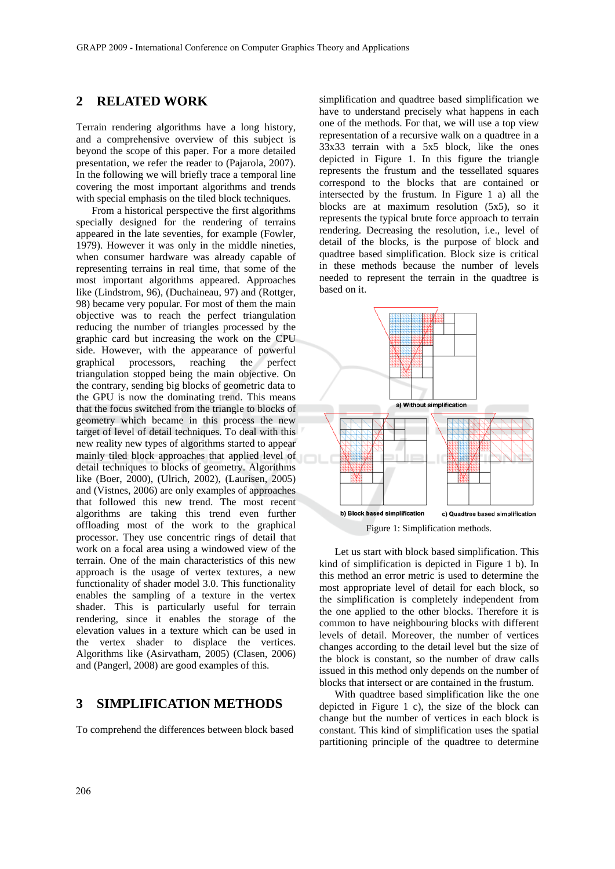#### $\mathbf{2}$ **RELATED WORK**

Terrain rendering algorithms have a long history, and a comprehensive overview of this subject is beyond the scope of this paper. For a more detailed presentation, we refer the reader to (Pajarola, 2007). In the following we will briefly trace a temporal line covering the most important algorithms and trends with special emphasis on the tiled block techniques.

From a historical perspective the first algorithms specially designed for the rendering of terrains appeared in the late seventies, for example (Fowler, 1979). However it was only in the middle nineties, when consumer hardware was already capable of representing terrains in real time, that some of the most important algorithms appeared. Approaches like (Lindstrom, 96), (Duchaineau, 97) and (Rottger, 98) became very popular. For most of them the main objective was to reach the perfect triangulation reducing the number of triangles processed by the graphic card but increasing the work on the CPU side. However, with the appearance of powerful graphical processors, reaching the perfect triangulation stopped being the main objective. On the contrary, sending big blocks of geometric data to the GPU is now the dominating trend. This means that the focus switched from the triangle to blocks of geometry which became in this process the new target of level of detail techniques. To deal with this new reality new types of algorithms started to appear mainly tiled block approaches that applied level of detail techniques to blocks of geometry. Algorithms like (Boer, 2000), (Ulrich, 2002), (Laurisen, 2005) and (Vistnes, 2006) are only examples of approaches that followed this new trend. The most recent algorithms are taking this trend even further offloading most of the work to the graphical processor. They use concentric rings of detail that work on a focal area using a windowed view of the terrain. One of the main characteristics of this new approach is the usage of vertex textures, a new functionality of shader model 3.0. This functionality enables the sampling of a texture in the vertex shader. This is particularly useful for terrain rendering, since it enables the storage of the elevation values in a texture which can be used in the vertex shader to displace the vertices. Algorithms like (Asirvatham, 2005) (Clasen, 2006) and (Pangerl, 2008) are good examples of this.

#### 3 **SIMPLIFICATION METHODS**

To comprehend the differences between block based

simplification and quadtree based simplification we have to understand precisely what happens in each one of the methods. For that, we will use a top view representation of a recursive walk on a quadtree in a 33x33 terrain with a 5x5 block, like the ones depicted in Figure 1. In this figure the triangle represents the frustum and the tessellated squares correspond to the blocks that are contained or intersected by the frustum. In Figure 1 a) all the blocks are at maximum resolution  $(5x5)$ , so it represents the typical brute force approach to terrain rendering. Decreasing the resolution, i.e., level of detail of the blocks, is the purpose of block and quadtree based simplification. Block size is critical in these methods because the number of levels needed to represent the terrain in the quadtree is based on it.



Figure 1: Simplification methods.

Let us start with block based simplification. This kind of simplification is depicted in Figure 1 b). In this method an error metric is used to determine the most appropriate level of detail for each block, so the simplification is completely independent from the one applied to the other blocks. Therefore it is common to have neighbouring blocks with different levels of detail. Moreover, the number of vertices changes according to the detail level but the size of the block is constant, so the number of draw calls issued in this method only depends on the number of blocks that intersect or are contained in the frustum.

With quadtree based simplification like the one depicted in Figure 1 c), the size of the block can change but the number of vertices in each block is constant. This kind of simplification uses the spatial partitioning principle of the quadtree to determine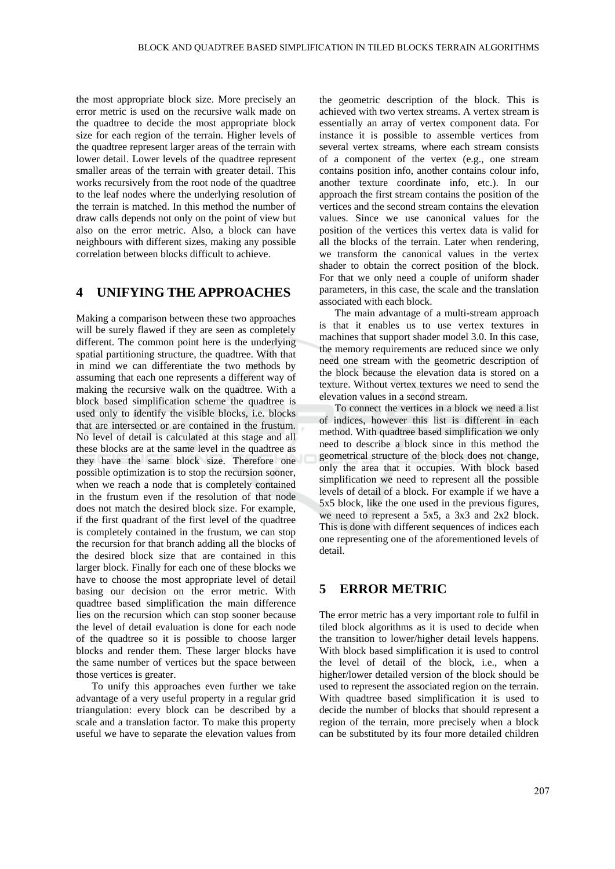the most appropriate block size. More precisely an error metric is used on the recursive walk made on the quadtree to decide the most appropriate block size for each region of the terrain. Higher levels of the quadtree represent larger areas of the terrain with lower detail. Lower levels of the quadtree represent smaller areas of the terrain with greater detail. This works recursively from the root node of the quadtree to the leaf nodes where the underlying resolution of the terrain is matched. In this method the number of draw calls depends not only on the point of view but also on the error metric. Also, a block can have neighbours with different sizes, making any possible correlation between blocks difficult to achieve.

#### $\boldsymbol{\Delta}$ UNIFYING THE APPROACHES

Making a comparison between these two approaches will be surely flawed if they are seen as completely different. The common point here is the underlying spatial partitioning structure, the quadtree. With that in mind we can differentiate the two methods by assuming that each one represents a different way of making the recursive walk on the quadtree. With a block based simplification scheme the quadtree is used only to identify the visible blocks, i.e. blocks that are intersected or are contained in the frustum. No level of detail is calculated at this stage and all these blocks are at the same level in the quadtree as they have the same block size. Therefore one possible optimization is to stop the recursion sooner, when we reach a node that is completely contained in the frustum even if the resolution of that node does not match the desired block size. For example, if the first quadrant of the first level of the quadtree is completely contained in the frustum, we can stop the recursion for that branch adding all the blocks of the desired block size that are contained in this larger block. Finally for each one of these blocks we have to choose the most appropriate level of detail basing our decision on the error metric. With quadtree based simplification the main difference lies on the recursion which can stop sooner because the level of detail evaluation is done for each node of the quadtree so it is possible to choose larger blocks and render them. These larger blocks have the same number of vertices but the space between those vertices is greater.

To unify this approaches even further we take advantage of a very useful property in a regular grid triangulation: every block can be described by a scale and a translation factor. To make this property useful we have to separate the elevation values from

the geometric description of the block. This is achieved with two vertex streams. A vertex stream is essentially an array of vertex component data. For instance it is possible to assemble vertices from several vertex streams, where each stream consists of a component of the vertex (e.g., one stream contains position info, another contains colour info, another texture coordinate info, etc.). In our approach the first stream contains the position of the vertices and the second stream contains the elevation values. Since we use canonical values for the position of the vertices this vertex data is valid for all the blocks of the terrain. Later when rendering, we transform the canonical values in the vertex shader to obtain the correct position of the block. For that we only need a couple of uniform shader parameters, in this case, the scale and the translation associated with each block.

The main advantage of a multi-stream approach is that it enables us to use vertex textures in machines that support shader model 3.0. In this case, the memory requirements are reduced since we only need one stream with the geometric description of the block because the elevation data is stored on a texture. Without vertex textures we need to send the elevation values in a second stream.

To connect the vertices in a block we need a list of indices, however this list is different in each method. With quadtree based simplification we only need to describe a block since in this method the geometrical structure of the block does not change, only the area that it occupies. With block based simplification we need to represent all the possible levels of detail of a block. For example if we have a 5x5 block, like the one used in the previous figures, we need to represent a  $5x5$ , a  $3x3$  and  $2x2$  block. This is done with different sequences of indices each one representing one of the aforementioned levels of detail.

#### 5 **ERROR METRIC**

The error metric has a very important role to fulfil in tiled block algorithms as it is used to decide when the transition to lower/higher detail levels happens. With block based simplification it is used to control the level of detail of the block, i.e., when a higher/lower detailed version of the block should be used to represent the associated region on the terrain. With quadtree based simplification it is used to decide the number of blocks that should represent a region of the terrain, more precisely when a block can be substituted by its four more detailed children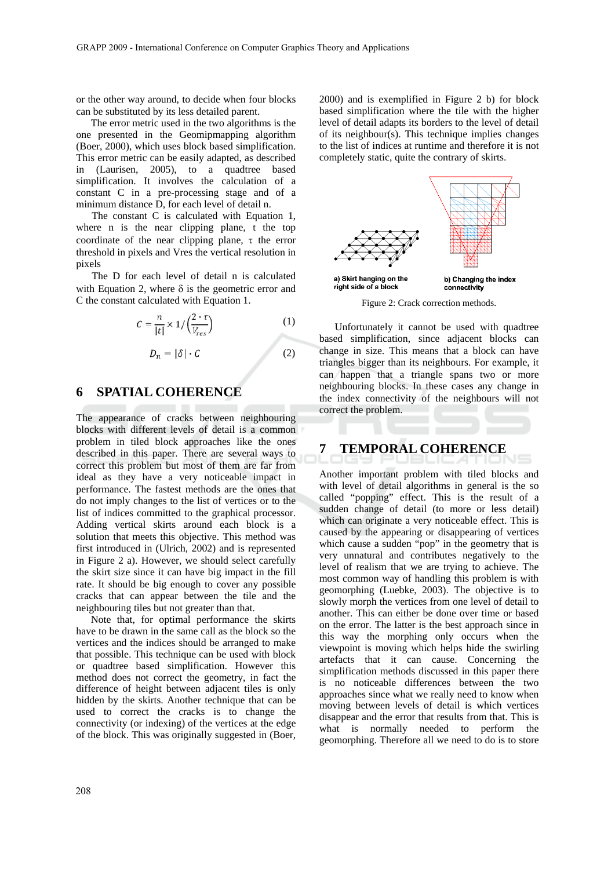or the other way around, to decide when four blocks can be substituted by its less detailed parent.

The error metric used in the two algorithms is the one presented in the Geomipmapping algorithm (Boer, 2000), which uses block based simplification. This error metric can be easily adapted, as described in (Laurisen, 2005), to a quadtree based simplification. It involves the calculation of a constant C in a pre-processing stage and of a minimum distance D, for each level of detail n.

The constant C is calculated with Equation 1, where n is the near clipping plane, t the top coordinate of the near clipping plane,  $\tau$  the error threshold in pixels and Vres the vertical resolution in pixels

The D for each level of detail n is calculated with Equation 2, where  $\delta$  is the geometric error and C the constant calculated with Equation 1.

$$
C = \frac{n}{|t|} \times 1 / \left(\frac{2 \cdot \tau}{V_{res}}\right)
$$
  

$$
D_n = |\delta| \cdot C
$$
 (2)

#### **SPATIAL COHERENCE** 6

The appearance of cracks between neighbouring blocks with different levels of detail is a common problem in tiled block approaches like the ones described in this paper. There are several ways to correct this problem but most of them are far from ideal as they have a very noticeable impact in performance. The fastest methods are the ones that do not imply changes to the list of vertices or to the list of indices committed to the graphical processor. Adding vertical skirts around each block is a solution that meets this objective. This method was first introduced in (Ulrich, 2002) and is represented in Figure 2 a). However, we should select carefully the skirt size since it can have big impact in the fill rate. It should be big enough to cover any possible cracks that can appear between the tile and the neighbouring tiles but not greater than that.

Note that, for optimal performance the skirts have to be drawn in the same call as the block so the vertices and the indices should be arranged to make that possible. This technique can be used with block or quadtree based simplification. However this method does not correct the geometry, in fact the difference of height between adjacent tiles is only hidden by the skirts. Another technique that can be used to correct the cracks is to change the connectivity (or indexing) of the vertices at the edge of the block. This was originally suggested in (Boer, 2000) and is exemplified in Figure 2 b) for block based simplification where the tile with the higher level of detail adapts its borders to the level of detail of its neighbour(s). This technique implies changes to the list of indices at runtime and therefore it is not completely static, quite the contrary of skirts.



Figure 2: Crack correction methods.

Unfortunately it cannot be used with quadtree based simplification, since adjacent blocks can change in size. This means that a block can have triangles bigger than its neighbours. For example, it can happen that a triangle spans two or more neighbouring blocks. In these cases any change in the index connectivity of the neighbours will not correct the problem.

#### 7 **TEMPORAL COHERENCE**

Another important problem with tiled blocks and with level of detail algorithms in general is the so called "popping" effect. This is the result of a sudden change of detail (to more or less detail) which can originate a very noticeable effect. This is caused by the appearing or disappearing of vertices which cause a sudden "pop" in the geometry that is very unnatural and contributes negatively to the level of realism that we are trying to achieve. The most common way of handling this problem is with geomorphing (Luebke, 2003). The objective is to slowly morph the vertices from one level of detail to another. This can either be done over time or based on the error. The latter is the best approach since in this way the morphing only occurs when the viewpoint is moving which helps hide the swirling artefacts that it can cause. Concerning the simplification methods discussed in this paper there is no noticeable differences between the two approaches since what we really need to know when moving between levels of detail is which vertices disappear and the error that results from that. This is what is normally needed to perform the geomorphing. Therefore all we need to do is to store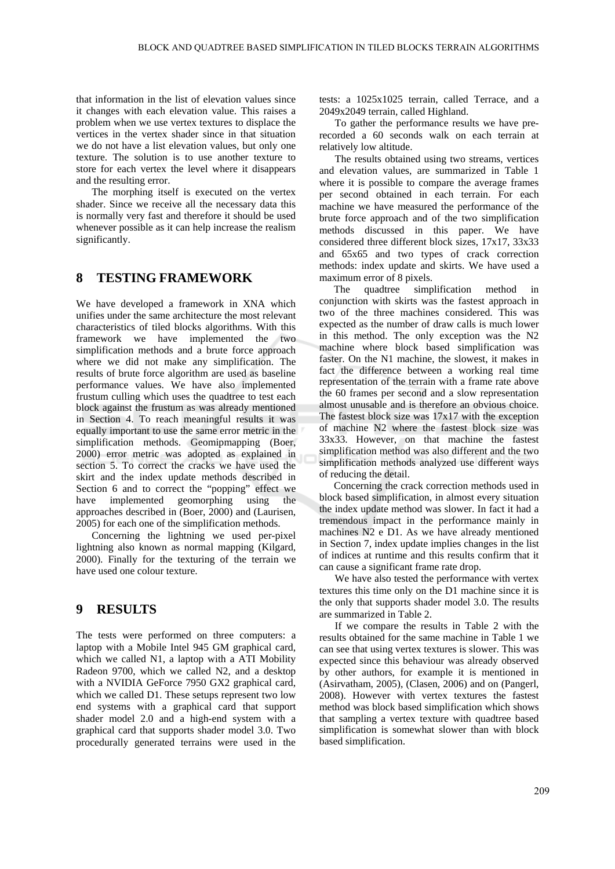that information in the list of elevation values since it changes with each elevation value. This raises a problem when we use vertex textures to displace the vertices in the vertex shader since in that situation we do not have a list elevation values, but only one texture. The solution is to use another texture to store for each vertex the level where it disappears and the resulting error.

The morphing itself is executed on the vertex shader. Since we receive all the necessary data this is normally very fast and therefore it should be used whenever possible as it can help increase the realism significantly.

#### **TESTING FRAMEWORK** 8

We have developed a framework in XNA which unifies under the same architecture the most relevant characteristics of tiled blocks algorithms. With this framework we have implemented the two simplification methods and a brute force approach where we did not make any simplification. The results of brute force algorithm are used as baseline performance values. We have also implemented frustum culling which uses the quadtree to test each block against the frustum as was already mentioned in Section 4. To reach meaningful results it was equally important to use the same error metric in the simplification methods. Geomipmapping (Boer, 2000) error metric was adopted as explained in section 5. To correct the cracks we have used the skirt and the index update methods described in Section 6 and to correct the "popping" effect we have implemented geomorphing using the approaches described in (Boer, 2000) and (Laurisen, 2005) for each one of the simplification methods.

Concerning the lightning we used per-pixel lightning also known as normal mapping (Kilgard, 2000). Finally for the texturing of the terrain we have used one colour texture.

#### $\boldsymbol{q}$ **RESULTS**

The tests were performed on three computers: a laptop with a Mobile Intel 945 GM graphical card, which we called N1, a laptop with a ATI Mobility Radeon 9700, which we called N2, and a desktop with a NVIDIA GeForce 7950 GX2 graphical card, which we called D1. These setups represent two low end systems with a graphical card that support shader model 2.0 and a high-end system with a graphical card that supports shader model 3.0. Two procedurally generated terrains were used in the tests: a 1025x1025 terrain, called Terrace, and a 2049x2049 terrain, called Highland.

To gather the performance results we have prerecorded a 60 seconds walk on each terrain at relatively low altitude.

The results obtained using two streams, vertices and elevation values, are summarized in Table 1 where it is possible to compare the average frames per second obtained in each terrain. For each machine we have measured the performance of the brute force approach and of the two simplification methods discussed in this paper. We have considered three different block sizes, 17x17, 33x33 and 65x65 and two types of crack correction methods: index update and skirts. We have used a maximum error of 8 pixels.

The quadtree simplification method conjunction with skirts was the fastest approach in two of the three machines considered. This was expected as the number of draw calls is much lower in this method. The only exception was the N2 machine where block based simplification was faster. On the N1 machine, the slowest, it makes in fact the difference between a working real time representation of the terrain with a frame rate above the 60 frames per second and a slow representation almost unusable and is therefore an obvious choice. The fastest block size was  $17x17$  with the exception of machine N2 where the fastest block size was 33x33. However, on that machine the fastest simplification method was also different and the two simplification methods analyzed use different ways of reducing the detail.

Concerning the crack correction methods used in block based simplification, in almost every situation the index update method was slower. In fact it had a tremendous impact in the performance mainly in machines N2 e D1. As we have already mentioned in Section 7, index update implies changes in the list of indices at runtime and this results confirm that it can cause a significant frame rate drop.

We have also tested the performance with vertex textures this time only on the D1 machine since it is the only that supports shader model 3.0. The results are summarized in Table 2.

If we compare the results in Table 2 with the results obtained for the same machine in Table 1 we can see that using vertex textures is slower. This was expected since this behaviour was already observed by other authors, for example it is mentioned in (Asirvatham, 2005), (Clasen, 2006) and on (Pangerl, 2008). However with vertex textures the fastest method was block based simplification which shows that sampling a vertex texture with quadtree based simplification is somewhat slower than with block based simplification.